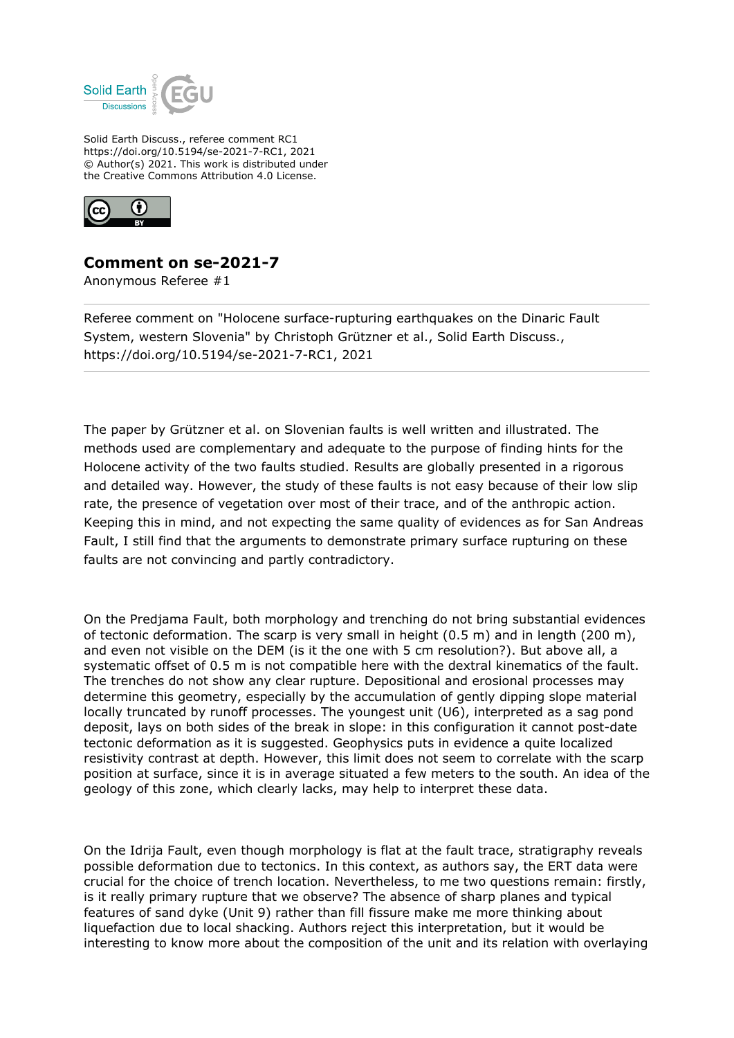

Solid Earth Discuss., referee comment RC1 https://doi.org/10.5194/se-2021-7-RC1, 2021 © Author(s) 2021. This work is distributed under the Creative Commons Attribution 4.0 License.



## **Comment on se-2021-7**

Anonymous Referee #1

Referee comment on "Holocene surface-rupturing earthquakes on the Dinaric Fault System, western Slovenia" by Christoph Grützner et al., Solid Earth Discuss., https://doi.org/10.5194/se-2021-7-RC1, 2021

The paper by Grützner et al. on Slovenian faults is well written and illustrated. The methods used are complementary and adequate to the purpose of finding hints for the Holocene activity of the two faults studied. Results are globally presented in a rigorous and detailed way. However, the study of these faults is not easy because of their low slip rate, the presence of vegetation over most of their trace, and of the anthropic action. Keeping this in mind, and not expecting the same quality of evidences as for San Andreas Fault, I still find that the arguments to demonstrate primary surface rupturing on these faults are not convincing and partly contradictory.

On the Predjama Fault, both morphology and trenching do not bring substantial evidences of tectonic deformation. The scarp is very small in height (0.5 m) and in length (200 m), and even not visible on the DEM (is it the one with 5 cm resolution?). But above all, a systematic offset of 0.5 m is not compatible here with the dextral kinematics of the fault. The trenches do not show any clear rupture. Depositional and erosional processes may determine this geometry, especially by the accumulation of gently dipping slope material locally truncated by runoff processes. The youngest unit (U6), interpreted as a sag pond deposit, lays on both sides of the break in slope: in this configuration it cannot post-date tectonic deformation as it is suggested. Geophysics puts in evidence a quite localized resistivity contrast at depth. However, this limit does not seem to correlate with the scarp position at surface, since it is in average situated a few meters to the south. An idea of the geology of this zone, which clearly lacks, may help to interpret these data.

On the Idrija Fault, even though morphology is flat at the fault trace, stratigraphy reveals possible deformation due to tectonics. In this context, as authors say, the ERT data were crucial for the choice of trench location. Nevertheless, to me two questions remain: firstly, is it really primary rupture that we observe? The absence of sharp planes and typical features of sand dyke (Unit 9) rather than fill fissure make me more thinking about liquefaction due to local shacking. Authors reject this interpretation, but it would be interesting to know more about the composition of the unit and its relation with overlaying